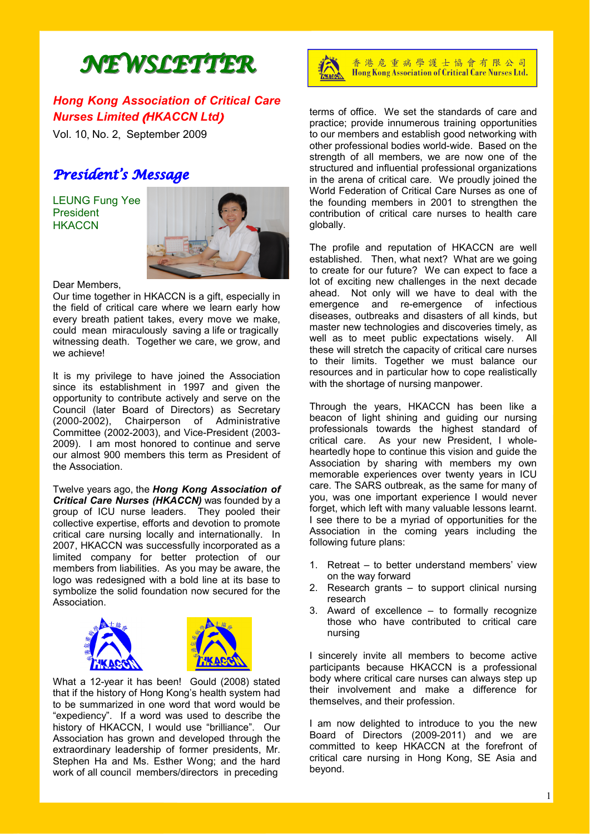# *NEWSLETTER NEWSLETTER*

# *Hong Kong Association of Critical Care Nurses Limited* (*HKACCN Ltd*)

Vol. 10, No. 2, September 2009

# *President's Message*

LEUNG Fung Yee President **HKACCN** 



Dear Members,

Our time together in HKACCN is a gift, especially in the field of critical care where we learn early how every breath patient takes, every move we make, could mean miraculously saving a life or tragically witnessing death. Together we care, we grow, and we achieve!

It is my privilege to have joined the Association since its establishment in 1997 and given the opportunity to contribute actively and serve on the Council (later Board of Directors) as Secretary (2000-2002), Chairperson of Administrative Committee (2002-2003), and Vice-President (2003- 2009). I am most honored to continue and serve our almost 900 members this term as President of the Association.

Twelve years ago, the *Hong Kong Association of Critical Care Nurses (HKACCN)* was founded by a group of ICU nurse leaders. They pooled their collective expertise, efforts and devotion to promote critical care nursing locally and internationally. In 2007, HKACCN was successfully incorporated as a limited company for better protection of our members from liabilities. As you may be aware, the logo was redesigned with a bold line at its base to symbolize the solid foundation now secured for the Association.





What a 12-year it has been! Gould (2008) stated that if the history of Hong Kong's health system had to be summarized in one word that word would be "expediency". If a word was used to describe the history of HKACCN, I would use "brilliance". Our Association has grown and developed through the extraordinary leadership of former presidents, Mr. Stephen Ha and Ms. Esther Wong; and the hard work of all council members/directors in preceding



香港危重病學護士協會有限公司 Hong Kong Association of Critical Care Nurses Ltd.

terms of office. We set the standards of care and practice; provide innumerous training opportunities to our members and establish good networking with other professional bodies world-wide. Based on the strength of all members, we are now one of the structured and influential professional organizations in the arena of critical care. We proudly joined the World Federation of Critical Care Nurses as one of the founding members in 2001 to strengthen the contribution of critical care nurses to health care globally.

The profile and reputation of HKACCN are well established. Then, what next? What are we going to create for our future? We can expect to face a lot of exciting new challenges in the next decade ahead. Not only will we have to deal with the emergence and re-emergence of infectious diseases, outbreaks and disasters of all kinds, but master new technologies and discoveries timely, as well as to meet public expectations wisely. All these will stretch the capacity of critical care nurses to their limits. Together we must balance our resources and in particular how to cope realistically with the shortage of nursing manpower.

Through the years, HKACCN has been like a beacon of light shining and guiding our nursing professionals towards the highest standard of critical care. As your new President, I wholeheartedly hope to continue this vision and guide the Association by sharing with members my own memorable experiences over twenty years in ICU care. The SARS outbreak, as the same for many of you, was one important experience I would never forget, which left with many valuable lessons learnt. I see there to be a myriad of opportunities for the Association in the coming years including the following future plans:

- 1. Retreat to better understand members' view on the way forward
- 2. Research grants to support clinical nursing research
- 3. Award of excellence to formally recognize those who have contributed to critical care nursing

I sincerely invite all members to become active participants because HKACCN is a professional body where critical care nurses can always step up their involvement and make a difference for themselves, and their profession.

I am now delighted to introduce to you the new Board of Directors (2009-2011) and we are committed to keep HKACCN at the forefront of critical care nursing in Hong Kong, SE Asia and beyond.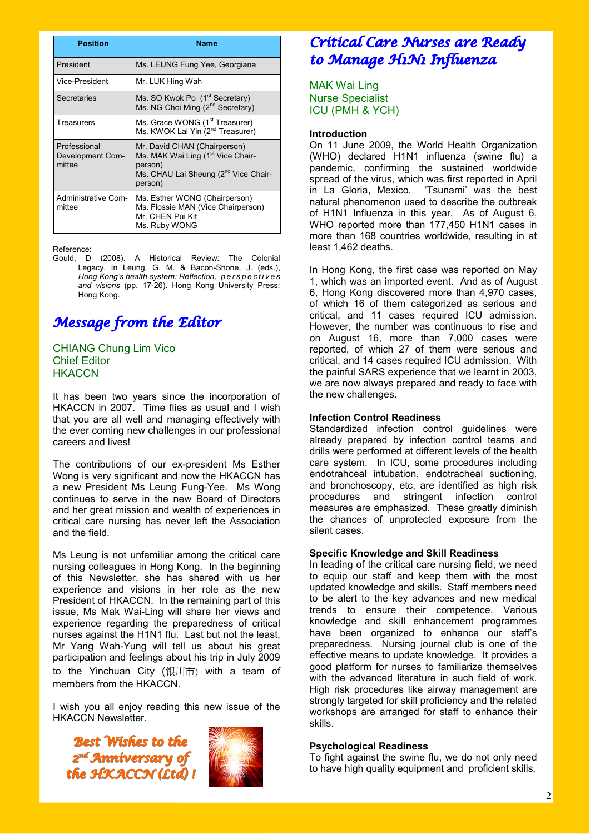| <b>Position</b>                            | Name                                                                                                                                                    |
|--------------------------------------------|---------------------------------------------------------------------------------------------------------------------------------------------------------|
| President                                  | Ms. LEUNG Fung Yee, Georgiana                                                                                                                           |
| Vice-President                             | Mr. LUK Hing Wah                                                                                                                                        |
| Secretaries                                | Ms. SO Kwok Po (1 <sup>st</sup> Secretary)<br>Ms. NG Choi Ming (2 <sup>nd</sup> Secretary)                                                              |
| Treasurers                                 | Ms. Grace WONG (1 <sup>st</sup> Treasurer)<br>Ms. KWOK Lai Yin (2 <sup>nd</sup> Treasurer)                                                              |
| Professional<br>Development Com-<br>mittee | Mr. David CHAN (Chairperson)<br>Ms. MAK Wai Ling (1 <sup>st</sup> Vice Chair-<br>person)<br>Ms. CHAU Lai Sheung (2 <sup>nd</sup> Vice Chair-<br>person) |
| Administrative Com-<br>mittee              | Ms. Esther WONG (Chairperson)<br>Ms. Flossie MAN (Vice Chairperson)<br>Mr. CHEN Pui Kit<br>Ms. Ruby WONG                                                |

#### Reference:

Gould, D (2008). A Historical Review: The Colonial Legacy. In Leung, G. M. & Bacon-Shone, J. (eds.), *Hong Kong's health system: Reflection, p e r s p e c t i v e s and visions* (pp. 17-26). Hong Kong University Press: Hong Kong.

# *Message from the Editor*

# CHIANG Chung Lim Vico Chief Editor **HKACCN**

It has been two years since the incorporation of HKACCN in 2007. Time flies as usual and I wish that you are all well and managing effectively with the ever coming new challenges in our professional careers and lives!

The contributions of our ex-president Ms Esther Wong is very significant and now the HKACCN has a new President Ms Leung Fung-Yee. Ms Wong continues to serve in the new Board of Directors and her great mission and wealth of experiences in critical care nursing has never left the Association and the field.

Ms Leung is not unfamiliar among the critical care nursing colleagues in Hong Kong. In the beginning of this Newsletter, she has shared with us her experience and visions in her role as the new President of HKACCN. In the remaining part of this issue, Ms Mak Wai-Ling will share her views and experience regarding the preparedness of critical nurses against the H1N1 flu. Last but not the least, Mr Yang Wah-Yung will tell us about his great participation and feelings about his trip in July 2009 to the Yinchuan City (银川市) with a team of members from the HKACCN.

I wish you all enjoy reading this new issue of the HKACCN Newsletter.

*Best Wishes to the 2nd nd Anniversary of Anniversary of the HKACCN (Ltd) ! the HKACCN (Ltd) !* 



# *Critical Care Nurses are Ready to Manage H1N1 Influenza*

MAK Wai Ling Nurse Specialist ICU (PMH & YCH)

### **Introduction**

On 11 June 2009, the World Health Organization (WHO) declared H1N1 influenza (swine flu) a pandemic, confirming the sustained worldwide spread of the virus, which was first reported in April in La Gloria, Mexico. 'Tsunami' was the best natural phenomenon used to describe the outbreak of H1N1 Influenza in this year. As of August 6, WHO reported more than 177,450 H1N1 cases in more than 168 countries worldwide, resulting in at least 1,462 deaths.

In Hong Kong, the first case was reported on May 1, which was an imported event. And as of August 6, Hong Kong discovered more than 4,970 cases, of which 16 of them categorized as serious and critical, and 11 cases required ICU admission. However, the number was continuous to rise and on August 16, more than 7,000 cases were reported, of which 27 of them were serious and critical, and 14 cases required ICU admission. With the painful SARS experience that we learnt in 2003, we are now always prepared and ready to face with the new challenges.

## **Infection Control Readiness**

Standardized infection control guidelines were already prepared by infection control teams and drills were performed at different levels of the health care system. In ICU, some procedures including endotrahceal intubation, endotracheal suctioning, and bronchoscopy, etc, are identified as high risk procedures and stringent infection control measures are emphasized. These greatly diminish the chances of unprotected exposure from the silent cases.

### **Specific Knowledge and Skill Readiness**

In leading of the critical care nursing field, we need to equip our staff and keep them with the most updated knowledge and skills. Staff members need to be alert to the key advances and new medical trends to ensure their competence. Various knowledge and skill enhancement programmes have been organized to enhance our staff's preparedness. Nursing journal club is one of the effective means to update knowledge. It provides a good platform for nurses to familiarize themselves with the advanced literature in such field of work. High risk procedures like airway management are strongly targeted for skill proficiency and the related workshops are arranged for staff to enhance their skills.

### **Psychological Readiness**

To fight against the swine flu, we do not only need to have high quality equipment and proficient skills,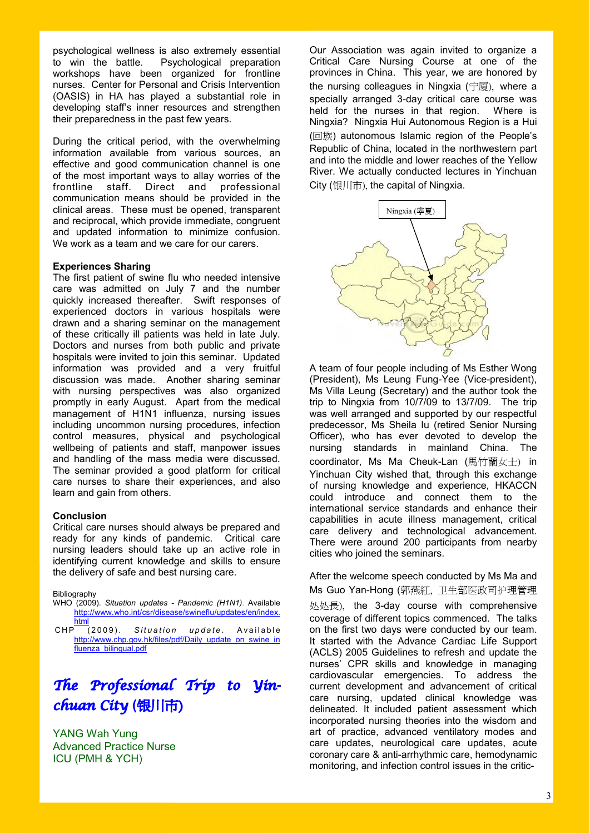psychological wellness is also extremely essential to win the battle. Psychological preparation workshops have been organized for frontline nurses. Center for Personal and Crisis Intervention (OASIS) in HA has played a substantial role in developing staff's inner resources and strengthen their preparedness in the past few years.

During the critical period, with the overwhelming information available from various sources, an effective and good communication channel is one of the most important ways to allay worries of the frontline staff. Direct and professional communication means should be provided in the clinical areas. These must be opened, transparent and reciprocal, which provide immediate, congruent and updated information to minimize confusion. We work as a team and we care for our carers.

### **Experiences Sharing**

The first patient of swine flu who needed intensive care was admitted on July 7 and the number quickly increased thereafter. Swift responses of experienced doctors in various hospitals were drawn and a sharing seminar on the management of these critically ill patients was held in late July. Doctors and nurses from both public and private hospitals were invited to join this seminar. Updated information was provided and a very fruitful discussion was made. Another sharing seminar with nursing perspectives was also organized promptly in early August. Apart from the medical management of H1N1 influenza, nursing issues including uncommon nursing procedures, infection control measures, physical and psychological wellbeing of patients and staff, manpower issues and handling of the mass media were discussed. The seminar provided a good platform for critical care nurses to share their experiences, and also learn and gain from others.

### **Conclusion**

Critical care nurses should always be prepared and ready for any kinds of pandemic. Critical care nursing leaders should take up an active role in identifying current knowledge and skills to ensure the delivery of safe and best nursing care.

Bibliography

WHO (2009). *Situation updates - Pandemic (H1N1)*. Available http://www.who.int/csr/disease/swineflu/updates/en/index. html

CHP (2009). Situation update. Available http://www.chp.gov.hk/files/pdf/Daily\_update\_on\_swine\_in fluenza\_bilingual.pdf

# *The Professional Trip to Yinchuan City* **(**银川市)

YANG Wah Yung Advanced Practice Nurse ICU (PMH & YCH)

Our Association was again invited to organize a Critical Care Nursing Course at one of the provinces in China. This year, we are honored by the nursing colleagues in Ningxia (宁厦), where a specially arranged 3-day critical care course was held for the nurses in that region. Where is Ningxia? Ningxia Hui Autonomous Region is a Hui (回族) autonomous Islamic region of the People's Republic of China, located in the northwestern part and into the middle and lower reaches of the Yellow River. We actually conducted lectures in Yinchuan City (银川市), the capital of Ningxia.



A team of four people including of Ms Esther Wong (President), Ms Leung Fung-Yee (Vice-president), Ms Villa Leung (Secretary) and the author took the trip to Ningxia from 10/7/09 to 13/7/09. The trip was well arranged and supported by our respectful predecessor, Ms Sheila Iu (retired Senior Nursing Officer), who has ever devoted to develop the nursing standards in mainland China. The coordinator, Ms Ma Cheuk-Lan (馬竹蘭女士) in Yinchuan City wished that, through this exchange of nursing knowledge and experience, HKACCN could introduce and connect them to the international service standards and enhance their capabilities in acute illness management, critical care delivery and technological advancement. There were around 200 participants from nearby cities who joined the seminars.

After the welcome speech conducted by Ms Ma and Ms Guo Yan-Hong (郭燕紅, 卫生部医政司护理管理

处处長), the 3-day course with comprehensive coverage of different topics commenced. The talks on the first two days were conducted by our team. It started with the Advance Cardiac Life Support (ACLS) 2005 Guidelines to refresh and update the nurses' CPR skills and knowledge in managing cardiovascular emergencies. To address the current development and advancement of critical care nursing, updated clinical knowledge was delineated. It included patient assessment which incorporated nursing theories into the wisdom and art of practice, advanced ventilatory modes and care updates, neurological care updates, acute coronary care & anti-arrhythmic care, hemodynamic monitoring, and infection control issues in the critic-